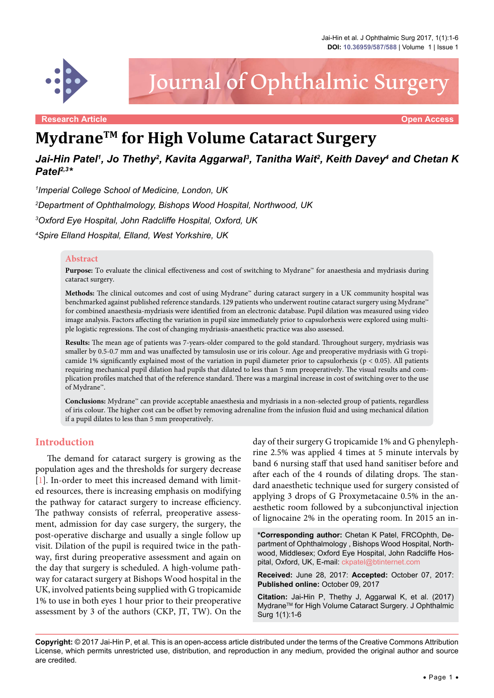

# Journal of Ophthalmic Surgery

**Research Article Open Access**

# **MydraneTM for High Volume Cataract Surgery**

# Jai-Hin Patel', Jo Thethy<sup>2</sup>, Kavita Aggarwal<sup>3</sup>, Tanitha Wait<sup>2</sup>, Keith Davey<sup>4</sup> and Chetan K *Patel2,3\**

*1 Imperial College School of Medicine, London, UK*

*2 Department of Ophthalmology, Bishops Wood Hospital, Northwood, UK*

*3 Oxford Eye Hospital, John Radcliffe Hospital, Oxford, UK*

*4 Spire Elland Hospital, Elland, West Yorkshire, UK*

#### **Abstract**

**Purpose:** To evaluate the clinical effectiveness and cost of switching to Mydrane™ for anaesthesia and mydriasis during cataract surgery.

**Methods:** The clinical outcomes and cost of using Mydrane™ during cataract surgery in a UK community hospital was benchmarked against published reference standards. 129 patients who underwent routine cataract surgery using Mydrane™ for combined anaesthesia-mydriasis were identified from an electronic database. Pupil dilation was measured using video image analysis. Factors affecting the variation in pupil size immediately prior to capsulorhexis were explored using multiple logistic regressions. The cost of changing mydriasis-anaesthetic practice was also assessed.

**Results:** The mean age of patients was 7-years-older compared to the gold standard. Throughout surgery, mydriasis was smaller by 0.5-0.7 mm and was unaffected by tamsulosin use or iris colour. Age and preoperative mydriasis with G tropicamide 1% significantly explained most of the variation in pupil diameter prior to capsulorhexis ( $p < 0.05$ ). All patients requiring mechanical pupil dilation had pupils that dilated to less than 5 mm preoperatively. The visual results and complication profiles matched that of the reference standard. There was a marginal increase in cost of switching over to the use of Mydrane™.

**Conclusions:** Mydrane™ can provide acceptable anaesthesia and mydriasis in a non-selected group of patients, regardless of iris colour. The higher cost can be offset by removing adrenaline from the infusion fluid and using mechanical dilation if a pupil dilates to less than 5 mm preoperatively.

#### **Introduction**

The demand for cataract surgery is growing as the population ages and the thresholds for surgery decrease [\[1\]](#page-5-0). In-order to meet this increased demand with limited resources, there is increasing emphasis on modifying the pathway for cataract surgery to increase efficiency. The pathway consists of referral, preoperative assessment, admission for day case surgery, the surgery, the post-operative discharge and usually a single follow up visit. Dilation of the pupil is required twice in the pathway, first during preoperative assessment and again on the day that surgery is scheduled. A high-volume pathway for cataract surgery at Bishops Wood hospital in the UK, involved patients being supplied with G tropicamide 1% to use in both eyes 1 hour prior to their preoperative assessment by 3 of the authors (CKP, JT, TW). On the day of their surgery G tropicamide 1% and G phenylephrine 2.5% was applied 4 times at 5 minute intervals by band 6 nursing staff that used hand sanitiser before and after each of the 4 rounds of dilating drops. The standard anaesthetic technique used for surgery consisted of applying 3 drops of G Proxymetacaine 0.5% in the anaesthetic room followed by a subconjunctival injection of lignocaine 2% in the operating room. In 2015 an in-

**\*Corresponding author:** Chetan K Patel, FRCOphth, Department of Ophthalmology , Bishops Wood Hospital, Northwood, Middlesex; Oxford Eye Hospital, John Radcliffe Hospital, Oxford, UK, E-mail: ckpatel@btinternet.com

**Received:** June 28, 2017: **Accepted:** October 07, 2017: **Published online:** October 09, 2017

**Citation:** Jai-Hin P, Thethy J, Aggarwal K, et al. (2017) MydraneTM for High Volume Cataract Surgery. J Ophthalmic Surg 1(1):1-6

**Copyright:** © 2017 Jai-Hin P, et al. This is an open-access article distributed under the terms of the Creative Commons Attribution License, which permits unrestricted use, distribution, and reproduction in any medium, provided the original author and source are credited.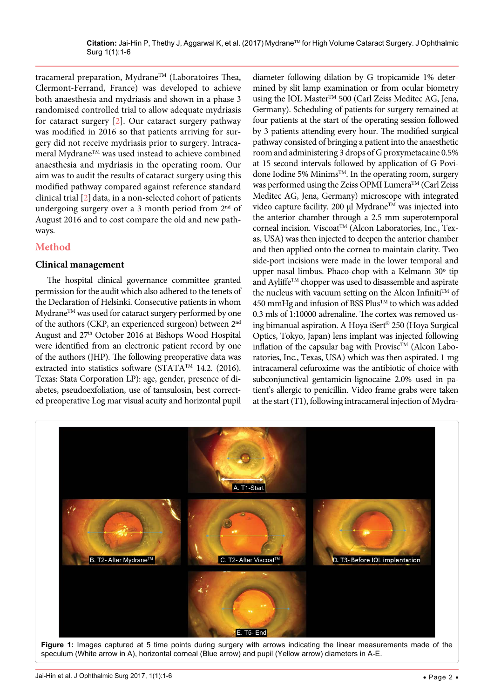tracameral preparation, Mydrane<sup>TM</sup> (Laboratoires Thea, Clermont-Ferrand, France) was developed to achieve both anaesthesia and mydriasis and shown in a phase 3 randomised controlled trial to allow adequate mydriasis for cataract surgery [\[2\]](#page-5-1). Our cataract surgery pathway was modified in 2016 so that patients arriving for surgery did not receive mydriasis prior to surgery. Intracameral Mydrane<sup>TM</sup> was used instead to achieve combined anaesthesia and mydriasis in the operating room. Our aim was to audit the results of cataract surgery using this modified pathway compared against reference standard clinical trial  $[2]$  $[2]$  $[2]$  data, in a non-selected cohort of patients undergoing surgery over a 3 month period from 2<sup>nd</sup> of August 2016 and to cost compare the old and new pathways.

# **Method**

<span id="page-1-0"></span>Ĩ

# **Clinical management**

The hospital clinical governance committee granted permission for the audit which also adhered to the tenets of the Declaration of Helsinki. Consecutive patients in whom Mydrane<sup>TM</sup> was used for cataract surgery performed by one of the authors (CKP, an experienced surgeon) between 2nd August and 27<sup>th</sup> October 2016 at Bishops Wood Hospital were identified from an electronic patient record by one of the authors (JHP). The following preoperative data was extracted into statistics software (STATATM 14.2. (2016). Texas: Stata Corporation LP): age, gender, presence of diabetes, pseudoexfoliation, use of tamsulosin, best corrected preoperative Log mar visual acuity and horizontal pupil

diameter following dilation by G tropicamide 1% determined by slit lamp examination or from ocular biometry using the IOL Master<sup>TM</sup> 500 (Carl Zeiss Meditec AG, Jena, Germany). Scheduling of patients for surgery remained at four patients at the start of the operating session followed by 3 patients attending every hour. The modified surgical pathway consisted of bringing a patient into the anaesthetic room and administering 3 drops of G proxymetacaine 0.5% at 15 second intervals followed by application of G Povidone Iodine 5% Minims™. In the operating room, surgery was performed using the Zeiss OPMI Lumera™ (Carl Zeiss Meditec AG, Jena, Germany) microscope with integrated video capture facility. 200 µl Mydrane™ was injected into the anterior chamber through a 2.5 mm superotemporal corneal incision. Viscoat<sup>TM</sup> (Alcon Laboratories, Inc., Texas, USA) was then injected to deepen the anterior chamber and then applied onto the cornea to maintain clarity. Two side-port incisions were made in the lower temporal and upper nasal limbus. Phaco-chop with a Kelmann 30º tip and Ayliffe<sup>TM</sup> chopper was used to disassemble and aspirate the nucleus with vacuum setting on the Alcon Infiniti<sup>TM</sup> of 450 mmHg and infusion of BSS Plus™ to which was added 0.3 mls of 1:10000 adrenaline. The cortex was removed using bimanual aspiration. A Hoya iSert® 250 (Hoya Surgical Optics, Tokyo, Japan) lens implant was injected following inflation of the capsular bag with Provisc<sup>TM</sup> (Alcon Laboratories, Inc., Texas, USA) which was then aspirated. 1 mg intracameral cefuroxime was the antibiotic of choice with subconjunctival gentamicin-lignocaine 2.0% used in patient's allergic to penicillin. Video frame grabs were taken at the start (T1), following intracameral injection of Mydra-



**Figure 1:** Images captured at 5 time points during surgery with arrows indicating the linear measurements made of the speculum (White arrow in A), horizontal corneal (Blue arrow) and pupil (Yellow arrow) diameters in A-E.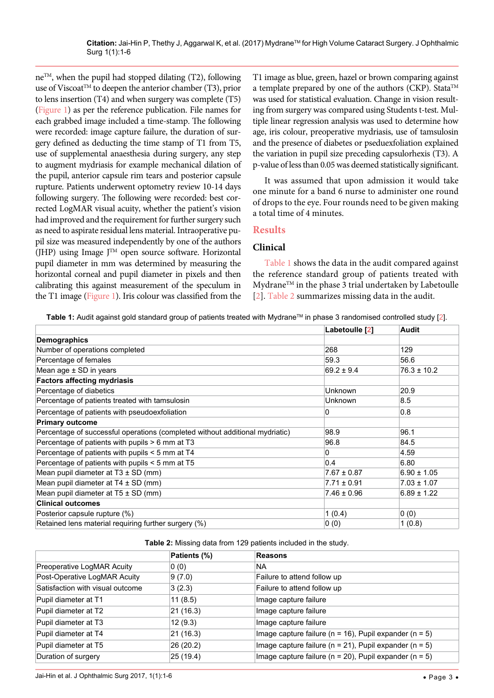neTM, when the pupil had stopped dilating (T2), following use of Viscoat<sup>TM</sup> to deepen the anterior chamber (T3), prior to lens insertion (T4) and when surgery was complete (T5) [\(Figure 1\)](#page-1-0) as per the reference publication. File names for each grabbed image included a time-stamp. The following were recorded: image capture failure, the duration of surgery defined as deducting the time stamp of T1 from T5, use of supplemental anaesthesia during surgery, any step to augment mydriasis for example mechanical dilation of the pupil, anterior capsule rim tears and posterior capsule rupture. Patients underwent optometry review 10-14 days following surgery. The following were recorded: best corrected LogMAR visual acuity, whether the patient's vision had improved and the requirement for further surgery such as need to aspirate residual lens material. Intraoperative pupil size was measured independently by one of the authors (JHP) using Image JTM open source software. Horizontal pupil diameter in mm was determined by measuring the horizontal corneal and pupil diameter in pixels and then calibrating this against measurement of the speculum in the T1 image ([Figure 1](#page-1-0)). Iris colour was classified from the

T1 image as blue, green, hazel or brown comparing against a template prepared by one of the authors (CKP). Stata<sup>TM</sup> was used for statistical evaluation. Change in vision resulting from surgery was compared using Students t-test. Multiple linear regression analysis was used to determine how age, iris colour, preoperative mydriasis, use of tamsulosin and the presence of diabetes or pseduexfoliation explained the variation in pupil size preceding capsulorhexis (T3). A p-value of less than 0.05 was deemed statistically significant.

It was assumed that upon admission it would take one minute for a band 6 nurse to administer one round of drops to the eye. Four rounds need to be given making a total time of 4 minutes.

# **Results**

#### **Clinical**

[Table 1](#page-2-0) shows the data in the audit compared against the reference standard group of patients treated with Mydrane™ in the phase 3 trial undertaken by Labetoulle [[2\]](#page-5-1). [Table 2](#page-2-1) summarizes missing data in the audit.

<span id="page-2-0"></span>Table 1: Audit against gold standard group of patients treated with Mydrane™ in phase 3 randomised controlled study [\[2](#page-5-1)].

|                                                                              | Labetoulle [2]  | Audit           |
|------------------------------------------------------------------------------|-----------------|-----------------|
| <b>Demographics</b>                                                          |                 |                 |
| Number of operations completed                                               | 268             | 129             |
| Percentage of females                                                        | 59.3            | 56.6            |
| Mean age $\pm$ SD in years                                                   | $69.2 \pm 9.4$  | $76.3 \pm 10.2$ |
| <b>Factors affecting mydriasis</b>                                           |                 |                 |
| Percentage of diabetics                                                      | <b>Unknown</b>  | 20.9            |
| Percentage of patients treated with tamsulosin                               | <b>Unknown</b>  | 8.5             |
| Percentage of patients with pseudoexfoliation                                | 0               | 0.8             |
| <b>Primary outcome</b>                                                       |                 |                 |
| Percentage of successful operations (completed without additional mydriatic) | 98.9            | 96.1            |
| Percentage of patients with pupils $> 6$ mm at T3                            | 96.8            | 84.5            |
| Percentage of patients with pupils $<$ 5 mm at T4                            | 0               | 4.59            |
| Percentage of patients with pupils $<$ 5 mm at T5                            | 0.4             | 6.80            |
| Mean pupil diameter at $T3 \pm SD$ (mm)                                      | $7.67 \pm 0.87$ | $6.90 \pm 1.05$ |
| Mean pupil diameter at $T4 \pm SD$ (mm)                                      | $7.71 \pm 0.91$ | $7.03 \pm 1.07$ |
| Mean pupil diameter at $T5 \pm SD$ (mm)                                      | $7.46 \pm 0.96$ | $6.89 \pm 1.22$ |
| <b>Clinical outcomes</b>                                                     |                 |                 |
| Posterior capsule rupture (%)                                                | 1(0.4)          | 0(0)            |
| Retained lens material requiring further surgery (%)                         | 0(0)            | 1(0.8)          |

<span id="page-2-1"></span>

|  | Table 2: Missing data from 129 patients included in the study. |
|--|----------------------------------------------------------------|
|--|----------------------------------------------------------------|

|                                  | Patients (%) | <b>Reasons</b>                                                 |
|----------------------------------|--------------|----------------------------------------------------------------|
| Preoperative LogMAR Acuity       | 0(0)         | NA.                                                            |
| Post-Operative LogMAR Acuity     | 9(7.0)       | Failure to attend follow up                                    |
| Satisfaction with visual outcome | 3(2.3)       | Failure to attend follow up                                    |
| Pupil diameter at T1             | 11(8.5)      | Image capture failure                                          |
| Pupil diameter at T2             | 21 (16.3)    | Image capture failure                                          |
| Pupil diameter at T3             | 12(9.3)      | Image capture failure                                          |
| Pupil diameter at T4             | 21 (16.3)    | Image capture failure ( $n = 16$ ), Pupil expander ( $n = 5$ ) |
| Pupil diameter at T5             | 26 (20.2)    | Image capture failure ( $n = 21$ ), Pupil expander ( $n = 5$ ) |
| Duration of surgery              | 25 (19.4)    | Image capture failure ( $n = 20$ ), Pupil expander ( $n = 5$ ) |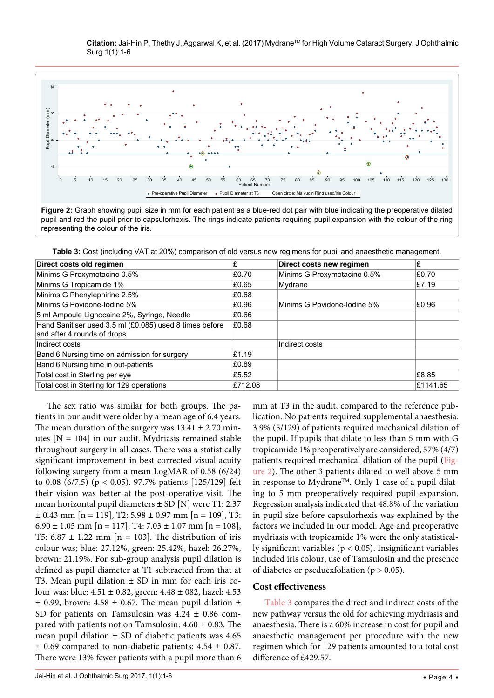<span id="page-3-0"></span>

**Figure 2:** Graph showing pupil size in mm for each patient as a blue-red dot pair with blue indicating the preoperative dilated pupil and red the pupil prior to capsulorhexis. The rings indicate patients requiring pupil expansion with the colour of the ring representing the colour of the iris.

<span id="page-3-1"></span>**Table 3:** Cost (including VAT at 20%) comparison of old versus new regimens for pupil and anaesthetic management.

| Direct costs old regimen                                                               | £       | Direct costs new regimen    | £        |
|----------------------------------------------------------------------------------------|---------|-----------------------------|----------|
| Minims G Proxymetacine 0.5%                                                            | £0.70   | Minims G Proxymetacine 0.5% | £0.70    |
| Minims G Tropicamide 1%                                                                | £0.65   | Mydrane                     | £7.19    |
| Minims G Phenylephirine 2.5%                                                           | £0.68   |                             |          |
| Minims G Povidone-lodine 5%                                                            | £0.96   | Minims G Povidone-lodine 5% | £0.96    |
| 5 ml Ampoule Lignocaine 2%, Syringe, Needle                                            | £0.66   |                             |          |
| Hand Sanitiser used 3.5 ml (£0.085) used 8 times before<br>and after 4 rounds of drops | £0.68   |                             |          |
| Indirect costs                                                                         |         | Indirect costs              |          |
| Band 6 Nursing time on admission for surgery                                           | £1.19   |                             |          |
| Band 6 Nursing time in out-patients                                                    | £0.89   |                             |          |
| Total cost in Sterling per eye                                                         | £5.52   |                             | £8.85    |
| Total cost in Sterling for 129 operations                                              | £712.08 |                             | £1141.65 |

The sex ratio was similar for both groups. The patients in our audit were older by a mean age of 6.4 years. The mean duration of the surgery was  $13.41 \pm 2.70$  minutes  $[N = 104]$  in our audit. Mydriasis remained stable throughout surgery in all cases. There was a statistically significant improvement in best corrected visual acuity following surgery from a mean LogMAR of 0.58 (6/24) to 0.08 (6/7.5) (p < 0.05). 97.7% patients [125/129] felt their vision was better at the post-operative visit. The mean horizontal pupil diameters  $\pm$  SD [N] were T1: 2.37  $\pm$  0.43 mm [n = 119], T2: 5.98  $\pm$  0.97 mm [n = 109], T3:  $6.90 \pm 1.05$  mm [n = 117], T4: 7.03  $\pm$  1.07 mm [n = 108], T5:  $6.87 \pm 1.22$  mm [n = 103]. The distribution of iris colour was; blue: 27.12%, green: 25.42%, hazel: 26.27%, brown: 21.19%. For sub-group analysis pupil dilation is defined as pupil diameter at T1 subtracted from that at T3. Mean pupil dilation  $\pm$  SD in mm for each iris colour was: blue: 4.51 ± 0.82, green: 4.48 ± 082, hazel: 4.53  $\pm$  0.99, brown: 4.58  $\pm$  0.67. The mean pupil dilation  $\pm$ SD for patients on Tamsulosin was  $4.24 \pm 0.86$  compared with patients not on Tamsulosin:  $4.60 \pm 0.83$ . The mean pupil dilation  $\pm$  SD of diabetic patients was 4.65  $\pm$  0.69 compared to non-diabetic patients: 4.54  $\pm$  0.87. There were 13% fewer patients with a pupil more than 6

mm at T3 in the audit, compared to the reference publication. No patients required supplemental anaesthesia. 3.9% (5/129) of patients required mechanical dilation of the pupil. If pupils that dilate to less than 5 mm with G tropicamide 1% preoperatively are considered, 57% (4/7) patients required mechanical dilation of the pupil ([Fig](#page-3-0)[ure 2\)](#page-3-0). The other 3 patients dilated to well above 5 mm in response to Mydrane<sup>TM</sup>. Only 1 case of a pupil dilating to 5 mm preoperatively required pupil expansion. Regression analysis indicated that 48.8% of the variation in pupil size before capsulorhexis was explained by the factors we included in our model. Age and preoperative mydriasis with tropicamide 1% were the only statistically significant variables (p < 0.05). Insignificant variables included iris colour, use of Tamsulosin and the presence of diabetes or pseduexfoliation ( $p > 0.05$ ).

# **Cost effectiveness**

[Table 3](#page-3-1) compares the direct and indirect costs of the new pathway versus the old for achieving mydriasis and anaesthesia. There is a 60% increase in cost for pupil and anaesthetic management per procedure with the new regimen which for 129 patients amounted to a total cost difference of £429.57.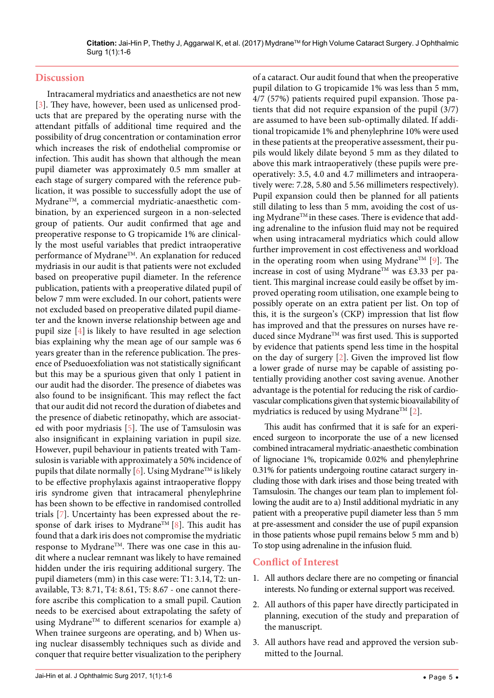#### **Discussion**

Intracameral mydriatics and anaesthetics are not new [\[3\]](#page-5-3). They have, however, been used as unlicensed products that are prepared by the operating nurse with the attendant pitfalls of additional time required and the possibility of drug concentration or contamination error which increases the risk of endothelial compromise or infection. This audit has shown that although the mean pupil diameter was approximately 0.5 mm smaller at each stage of surgery compared with the reference publication, it was possible to successfully adopt the use of MydraneTM, a commercial mydriatic-anaesthetic combination, by an experienced surgeon in a non-selected group of patients. Our audit confirmed that age and preoperative response to G tropicamide 1% are clinically the most useful variables that predict intraoperative performance of Mydrane<sup>™</sup>. An explanation for reduced mydriasis in our audit is that patients were not excluded based on preoperative pupil diameter. In the reference publication, patients with a preoperative dilated pupil of below 7 mm were excluded. In our cohort, patients were not excluded based on preoperative dilated pupil diameter and the known inverse relationship between age and pupil size [[4\]](#page-5-4) is likely to have resulted in age selection bias explaining why the mean age of our sample was 6 years greater than in the reference publication. The presence of Pseduoexfoliation was not statistically significant but this may be a spurious given that only 1 patient in our audit had the disorder. The presence of diabetes was also found to be insignificant. This may reflect the fact that our audit did not record the duration of diabetes and the presence of diabetic retinopathy, which are associated with poor mydriasis [[5](#page-5-5)]. The use of Tamsulosin was also insignificant in explaining variation in pupil size. However, pupil behaviour in patients treated with Tamsulosin is variable with approximately a 50% incidence of pupils that dilate normally [[6](#page-5-6)]. Using Mydrane<sup>TM</sup> is likely to be effective prophylaxis against intraoperative floppy iris syndrome given that intracameral phenylephrine has been shown to be effective in randomised controlled trials [[7](#page-5-7)]. Uncertainty has been expressed about the re-sponse of dark irises to Mydrane<sup>TM</sup> [\[8\]](#page-5-8). This audit has found that a dark iris does not compromise the mydriatic response to MydraneTM. There was one case in this audit where a nuclear remnant was likely to have remained hidden under the iris requiring additional surgery. The pupil diameters (mm) in this case were: T1: 3.14, T2: unavailable, T3: 8.71, T4: 8.61, T5: 8.67 - one cannot therefore ascribe this complication to a small pupil. Caution needs to be exercised about extrapolating the safety of using Mydrane<sup>TM</sup> to different scenarios for example a) When trainee surgeons are operating, and b) When using nuclear disassembly techniques such as divide and conquer that require better visualization to the periphery

of a cataract. Our audit found that when the preoperative pupil dilation to G tropicamide 1% was less than 5 mm, 4/7 (57%) patients required pupil expansion. Those patients that did not require expansion of the pupil (3/7) are assumed to have been sub-optimally dilated. If additional tropicamide 1% and phenylephrine 10% were used in these patients at the preoperative assessment, their pupils would likely dilate beyond 5 mm as they dilated to above this mark intraoperatively (these pupils were preoperatively: 3.5, 4.0 and 4.7 millimeters and intraoperatively were: 7.28, 5.80 and 5.56 millimeters respectively). Pupil expansion could then be planned for all patients still dilating to less than 5 mm, avoiding the cost of using MydraneTM in these cases. There is evidence that adding adrenaline to the infusion fluid may not be required when using intracameral mydriatics which could allow further improvement in cost effectiveness and workload in the operating room when using Mydrane<sup>TM</sup> [\[9](#page-5-2)]. The increase in cost of using Mydrane<sup>TM</sup> was £3.33 per patient. This marginal increase could easily be offset by improved operating room utilisation, one example being to possibly operate on an extra patient per list. On top of this, it is the surgeon's (CKP) impression that list flow has improved and that the pressures on nurses have reduced since Mydrane™ was first used. This is supported by evidence that patients spend less time in the hospital on the day of surgery [[2\]](#page-5-1). Given the improved list flow a lower grade of nurse may be capable of assisting potentially providing another cost saving avenue. Another advantage is the potential for reducing the risk of cardiovascular complications given that systemic bioavailability of mydriatics is reduced by using Mydrane<sup>TM</sup> [\[2\]](#page-5-1).

This audit has confirmed that it is safe for an experienced surgeon to incorporate the use of a new licensed combined intracameral mydriatic-anaesthetic combination of lignociane 1%, tropicamide 0.02% and phenylephrine 0.31% for patients undergoing routine cataract surgery including those with dark irises and those being treated with Tamsulosin. The changes our team plan to implement following the audit are to a) Instil additional mydriatic in any patient with a preoperative pupil diameter less than 5 mm at pre-assessment and consider the use of pupil expansion in those patients whose pupil remains below 5 mm and b) To stop using adrenaline in the infusion fluid.

# **Conflict of Interest**

- 1. All authors declare there are no competing or financial interests. No funding or external support was received.
- 2. All authors of this paper have directly participated in planning, execution of the study and preparation of the manuscript.
- 3. All authors have read and approved the version submitted to the Journal.